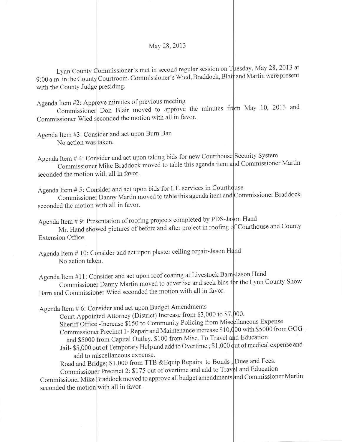May 28,2013

Lynn County Commissioner's met in second regular session on Tuesday, May 28, 2013 at 9:00 a.m. in the County Courtroom. Commissioner's Wied, Braddock, Blair and Martin were present with the County Judge presiding.

Agenda Item #2: Approve minutes of previous meeting

Commissioner Wied seconded the motion with all in favor. Commissioner Don Blair moved to approve the minutes from May 10, 2013 and

Agenda Item #3: Consider and act upon Burn Ban No action was taken.

Agenda Item  $# 4$ : Consider and act upon taking bids for new Courthouse Security System Commissioner Mike Braddock moved to table this agenda item and Commissioner Martin seconded the motion with all in favor.

Agenda Item  $# 5$ : Consider and act upon bids for I.T. services in Courthquse

Commissioner Danny Martin moved to table this agenda item and Commissioner Braddock seconded the motion with all in favor.

Agenda Item # 10: Consider and act upon plaster ceiling repair-Jason No action taken.

Agenda Item #11: Consider and act upon roof coating at Livestock Barn-Jason Hand Commissioner Danny Martin moved to advertise and seek bids for the Lynn County Show Barn and Commissio er Wied seconded the motion with all in favor'

Agenda Item # 6: Consider and act upon Budget Amendments

Sheriff Office -Increase \$150 to Community Policing from Miscellaneous Expense Commissioner Precinct 1 - Repair and Maintenance increase \$10,000 with \$5000 from GOG and \$5000 from Capital Outlay. \$100 from Misc. To Travel and Education Jail- \$5,000 out of Temporary Help and add to Overtime ; \$1,000 out of medical expense and Court Appointed Attorney (District) Increase from \$3,000 to \$7,000. add to miscellaneous expense.

Road and Bridge; \$1,000 from TTB &Equip Repairs to Bonds, Dues and Fees. Commissioner Precinct 2: \$175 out of overtime and add to Travel and Education

Commissioner Mike Braddock moved to approve all budget amendments <mark>and Commissioner Mart</mark>ii seconded the motion with all in favor.

Agenda Item # 9: Presentation of roofing projects completed by PDS-Jason Hand Mr. Hand showed pictures of before and after project in roofing of Courthouse and County Extension Office.